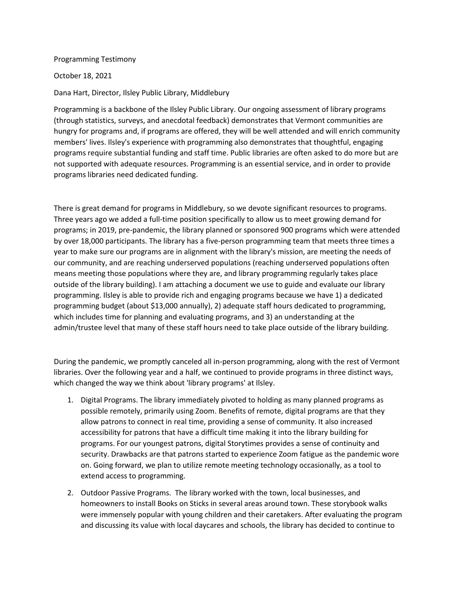## Programming Testimony

October 18, 2021

Dana Hart, Director, Ilsley Public Library, Middlebury

Programming is a backbone of the Ilsley Public Library. Our ongoing assessment of library programs (through statistics, surveys, and anecdotal feedback) demonstrates that Vermont communities are hungry for programs and, if programs are offered, they will be well attended and will enrich community members' lives. Ilsley's experience with programming also demonstrates that thoughtful, engaging programs require substantial funding and staff time. Public libraries are often asked to do more but are not supported with adequate resources. Programming is an essential service, and in order to provide programs libraries need dedicated funding.

There is great demand for programs in Middlebury, so we devote significant resources to programs. Three years ago we added a full-time position specifically to allow us to meet growing demand for programs; in 2019, pre-pandemic, the library planned or sponsored 900 programs which were attended by over 18,000 participants. The library has a five-person programming team that meets three times a year to make sure our programs are in alignment with the library's mission, are meeting the needs of our community, and are reaching underserved populations (reaching underserved populations often means meeting those populations where they are, and library programming regularly takes place outside of the library building). I am attaching a document we use to guide and evaluate our library programming. Ilsley is able to provide rich and engaging programs because we have 1) a dedicated programming budget (about \$13,000 annually), 2) adequate staff hours dedicated to programming, which includes time for planning and evaluating programs, and 3) an understanding at the admin/trustee level that many of these staff hours need to take place outside of the library building.

During the pandemic, we promptly canceled all in-person programming, along with the rest of Vermont libraries. Over the following year and a half, we continued to provide programs in three distinct ways, which changed the way we think about 'library programs' at Ilsley.

- 1. Digital Programs. The library immediately pivoted to holding as many planned programs as possible remotely, primarily using Zoom. Benefits of remote, digital programs are that they allow patrons to connect in real time, providing a sense of community. It also increased accessibility for patrons that have a difficult time making it into the library building for programs. For our youngest patrons, digital Storytimes provides a sense of continuity and security. Drawbacks are that patrons started to experience Zoom fatigue as the pandemic wore on. Going forward, we plan to utilize remote meeting technology occasionally, as a tool to extend access to programming.
- 2. Outdoor Passive Programs. The library worked with the town, local businesses, and homeowners to install Books on Sticks in several areas around town. These storybook walks were immensely popular with young children and their caretakers. After evaluating the program and discussing its value with local daycares and schools, the library has decided to continue to